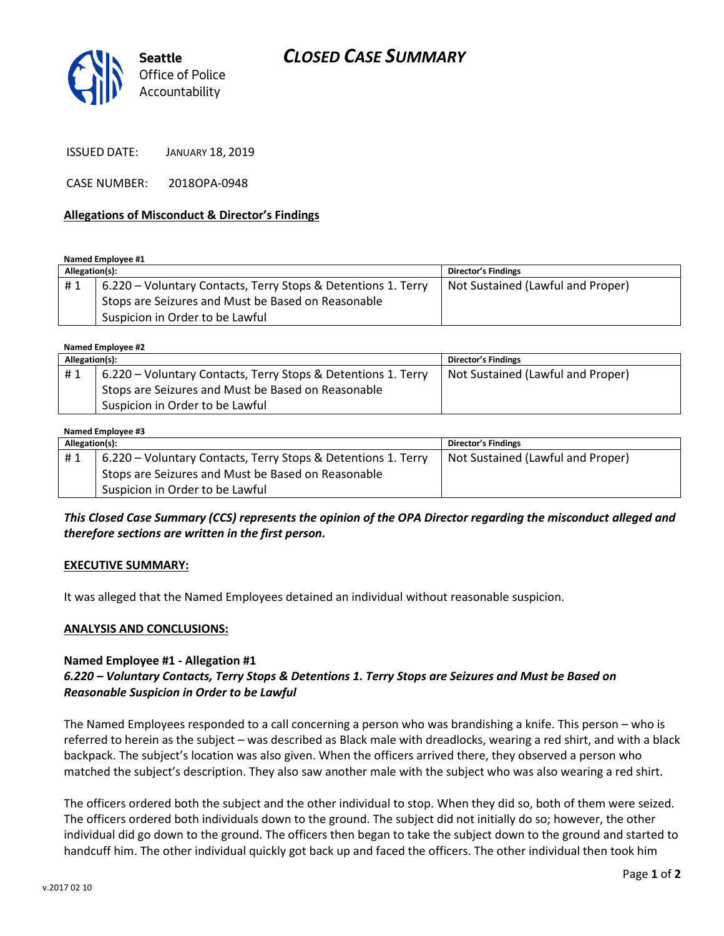# *CLOSED CASE SUMMARY*



ISSUED DATE: JANUARY 18, 2019

CASE NUMBER: 2018OPA-0948

#### **Allegations of Misconduct & Director's Findings**

**Named Employee #1**

| Allegation(s): |                                                               | <b>Director's Findings</b>        |
|----------------|---------------------------------------------------------------|-----------------------------------|
| #1             | 6.220 – Voluntary Contacts, Terry Stops & Detentions 1. Terry | Not Sustained (Lawful and Proper) |
|                | Stops are Seizures and Must be Based on Reasonable            |                                   |
|                | Suspicion in Order to be Lawful                               |                                   |

**Named Employee #2**

| Allegation(s): |                                                               | Director's Findings               |
|----------------|---------------------------------------------------------------|-----------------------------------|
| #1             | 6.220 – Voluntary Contacts, Terry Stops & Detentions 1. Terry | Not Sustained (Lawful and Proper) |
|                | Stops are Seizures and Must be Based on Reasonable            |                                   |
|                | Suspicion in Order to be Lawful                               |                                   |

| Named Employee #3 |                                                               |                                   |  |  |
|-------------------|---------------------------------------------------------------|-----------------------------------|--|--|
| Allegation(s):    |                                                               | <b>Director's Findings</b>        |  |  |
| #1                | 6.220 – Voluntary Contacts, Terry Stops & Detentions 1. Terry | Not Sustained (Lawful and Proper) |  |  |
|                   | Stops are Seizures and Must be Based on Reasonable            |                                   |  |  |
|                   | Suspicion in Order to be Lawful                               |                                   |  |  |

*This Closed Case Summary (CCS) represents the opinion of the OPA Director regarding the misconduct alleged and therefore sections are written in the first person.* 

### **EXECUTIVE SUMMARY:**

It was alleged that the Named Employees detained an individual without reasonable suspicion.

#### **ANALYSIS AND CONCLUSIONS:**

### **Named Employee #1 - Allegation #1**

# *6.220 – Voluntary Contacts, Terry Stops & Detentions 1. Terry Stops are Seizures and Must be Based on Reasonable Suspicion in Order to be Lawful*

The Named Employees responded to a call concerning a person who was brandishing a knife. This person – who is referred to herein as the subject – was described as Black male with dreadlocks, wearing a red shirt, and with a black backpack. The subject's location was also given. When the officers arrived there, they observed a person who matched the subject's description. They also saw another male with the subject who was also wearing a red shirt.

The officers ordered both the subject and the other individual to stop. When they did so, both of them were seized. The officers ordered both individuals down to the ground. The subject did not initially do so; however, the other individual did go down to the ground. The officers then began to take the subject down to the ground and started to handcuff him. The other individual quickly got back up and faced the officers. The other individual then took him